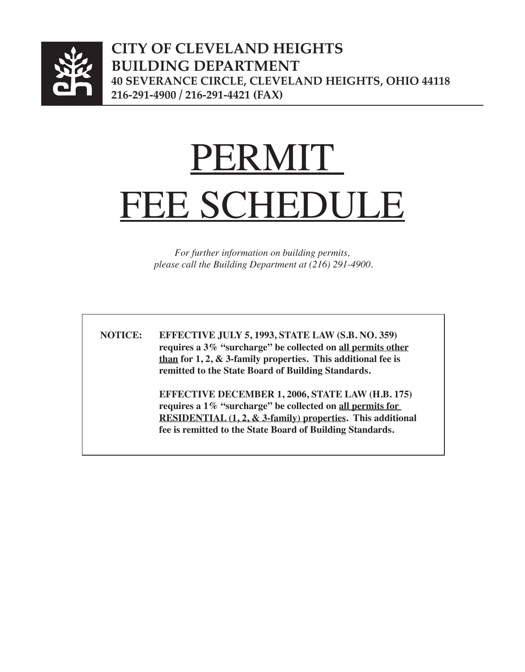

**city of cleveland heights building department 40 Severance Circle, cleveland heights, ohio 44118 216-291-4900 / 216-291-4421 (fax)**

# PERMIT<sup>®</sup> FEE SCHEDULE

*For further information on building permits, please call the Building Department at (216) 291-4900.*

 **NOTICE: EFFECTIVE JULY 5, 1993, STATE LAW (S.B. NO. 359) requires a 3% "surcharge" be collected on all permits other than for 1, 2, & 3-family properties. This additional fee is remitted to the State Board of Building Standards.**

> **EFFECTIVE DECEMBER 1, 2006, STATE LAW (H.B. 175) requires a 1% "surcharge" be collected on all permits for <u>RESIDENTIAL** (1, 2, & 3-family) properties</u>. This additional  **fee is remitted to the State Board of Building Standards.**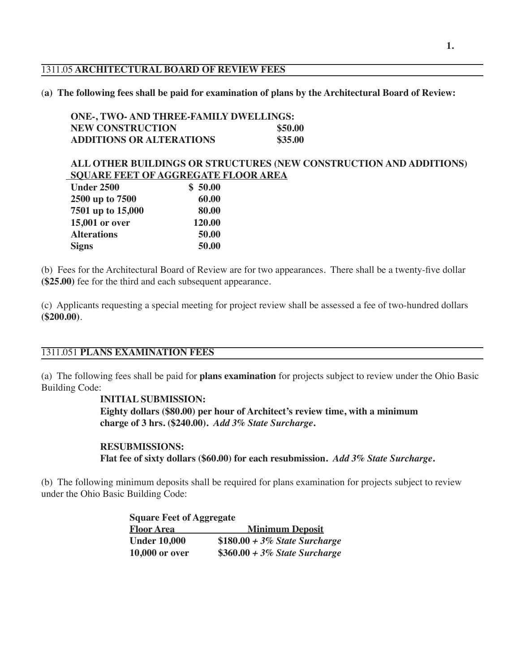#### 1311.05 **ARCHITECTURAL BOARD OF REVIEW FEES**

#### (**a) The following fees shall be paid for examination of plans by the Architectural Board of Review:**

| ONE-, TWO- AND THREE-FAMILY DWELLINGS: |         |  |
|----------------------------------------|---------|--|
| <b>NEW CONSTRUCTION</b>                | \$50.00 |  |
| <b>ADDITIONS OR ALTERATIONS</b>        | \$35.00 |  |

## **ALL OTHER BUILDINGS OR STRUCTURES (NEW CONSTRUCTION AND ADDITIONS) SQUARE FEET OF AGGREGATE FLOOR AREA**

| <b>Under 2500</b>  | \$50.00 |
|--------------------|---------|
| 2500 up to 7500    | 60.00   |
| 7501 up to 15,000  | 80.00   |
| 15,001 or over     | 120.00  |
| <b>Alterations</b> | 50.00   |
| <b>Signs</b>       | 50.00   |

(b) Fees for the Architectural Board of Review are for two appearances. There shall be a twenty-five dollar **(\$25.00)** fee for the third and each subsequent appearance.

(c) Applicants requesting a special meeting for project review shall be assessed a fee of two-hundred dollars **(\$200.00)**.

## 1311.051 **PLANS EXAMINATION FEES**

(a) The following fees shall be paid for **plans examination** for projects subject to review under the Ohio Basic Building Code:

## **INITIAL SUBMISSION:**

 **Eighty dollars (\$80.00) per hour of Architect's review time, with a minimum charge of 3 hrs. (\$240.00).** *Add 3% State Surcharge***.**

# **RESUBMISSIONS:**

 **Flat fee of sixty dollars (\$60.00) for each resubmission.** *Add 3% State Surcharge***.**

(b) The following minimum deposits shall be required for plans examination for projects subject to review under the Ohio Basic Building Code:

| <b>Square Feet of Aggregate</b> |                                 |
|---------------------------------|---------------------------------|
| <b>Floor Area</b>               | <b>Minimum Deposit</b>          |
| <b>Under 10,000</b>             | $$180.00 + 3\%$ State Surcharge |
| <b>10,000 or over</b>           | $$360.00 + 3\%$ State Surcharge |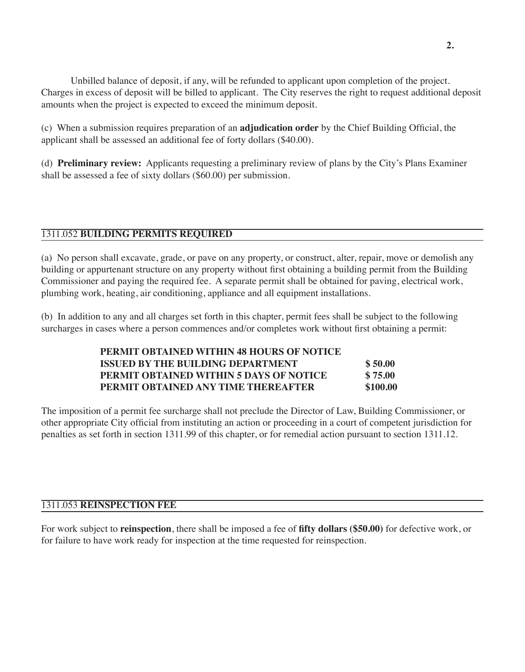Unbilled balance of deposit, if any, will be refunded to applicant upon completion of the project. Charges in excess of deposit will be billed to applicant. The City reserves the right to request additional deposit amounts when the project is expected to exceed the minimum deposit.

(c) When a submission requires preparation of an **adjudication order** by the Chief Building Official, the applicant shall be assessed an additional fee of forty dollars (\$40.00).

(d) **Preliminary review:** Applicants requesting a preliminary review of plans by the City's Plans Examiner shall be assessed a fee of sixty dollars (\$60.00) per submission.

# 1311.052 **BUILDING PERMITS REQUIRED**

(a) No person shall excavate, grade, or pave on any property, or construct, alter, repair, move or demolish any building or appurtenant structure on any property without first obtaining a building permit from the Building Commissioner and paying the required fee. A separate permit shall be obtained for paving, electrical work, plumbing work, heating, air conditioning, appliance and all equipment installations.

(b) In addition to any and all charges set forth in this chapter, permit fees shall be subject to the following surcharges in cases where a person commences and/or completes work without first obtaining a permit:

| PERMIT OBTAINED WITHIN 48 HOURS OF NOTICE |          |
|-------------------------------------------|----------|
| ISSUED BY THE BUILDING DEPARTMENT         | \$50.00  |
| PERMIT OBTAINED WITHIN 5 DAYS OF NOTICE   | \$75.00  |
| PERMIT OBTAINED ANY TIME THEREAFTER       | \$100.00 |

The imposition of a permit fee surcharge shall not preclude the Director of Law, Building Commissioner, or other appropriate City official from instituting an action or proceeding in a court of competent jurisdiction for penalties as set forth in section 1311.99 of this chapter, or for remedial action pursuant to section 1311.12.

## 1311.053 **REINSPECTION FEE**

For work subject to **reinspection**, there shall be imposed a fee of **fifty dollars (\$50.00)** for defective work, or for failure to have work ready for inspection at the time requested for reinspection.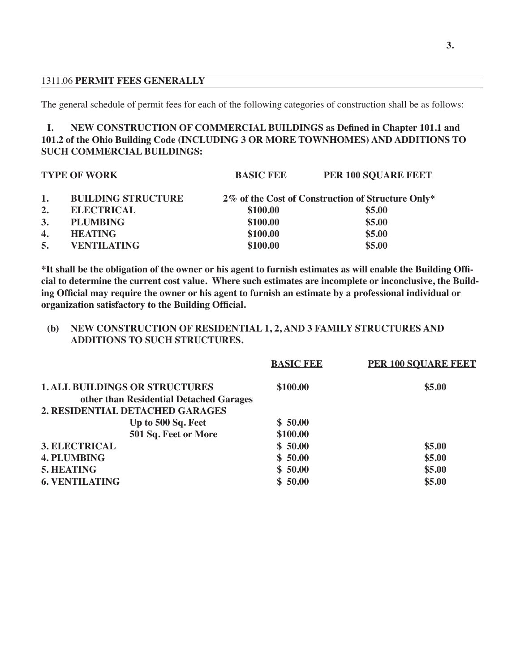#### 1311.06 **PERMIT FEES GENERALLY**

The general schedule of permit fees for each of the following categories of construction shall be as follows:

## **I. NEW CONSTRUCTION OF COMMERCIAL BUILDINGS as Defined in Chapter 101.1 and 101.2 of the Ohio Building Code (INCLUDING 3 OR MORE TOWNHOMES) AND ADDITIONS TO SUCH COMMERCIAL BUILDINGS:**

| <b>TYPE OF WORK</b> |                           | <b>BASIC FEE</b> | <b>PER 100 SOUARE FEET</b>                        |
|---------------------|---------------------------|------------------|---------------------------------------------------|
| 1.                  | <b>BUILDING STRUCTURE</b> |                  | 2% of the Cost of Construction of Structure Only* |
| 2.                  | <b>ELECTRICAL</b>         | \$100.00         | \$5.00                                            |
| 3.                  | <b>PLUMBING</b>           | \$100.00         | \$5.00                                            |
| $\boldsymbol{4}$ .  | <b>HEATING</b>            | \$100.00         | \$5.00                                            |
| 5.                  | <b>VENTILATING</b>        | \$100.00         | \$5.00                                            |

\*It shall be the obligation of the owner or his agent to furnish estimates as will enable the Building Offi**cial to determine the current cost value. Where such estimates are incomplete or inconclusive, the Build**ing Official may require the owner or his agent to furnish an estimate by a professional individual or **organization satisfactory to the Building Official.**

#### **(b) NEW CONSTRUCTION OF RESIDENTIAL 1, 2, AND 3 FAMILY STRUCTURES AND ADDITIONS TO SUCH STRUCTURES.**

|                                         | <b>BASIC FEE</b> | <b>PER 100 SOUARE FEET</b> |
|-----------------------------------------|------------------|----------------------------|
| <b>1. ALL BUILDINGS OR STRUCTURES</b>   | \$100.00         | \$5.00                     |
| other than Residential Detached Garages |                  |                            |
| 2. RESIDENTIAL DETACHED GARAGES         |                  |                            |
| Up to 500 Sq. Feet                      | \$50.00          |                            |
| 501 Sq. Feet or More                    | \$100.00         |                            |
| <b>3. ELECTRICAL</b>                    | \$50.00          | \$5.00                     |
| <b>4. PLUMBING</b>                      | \$50.00          | \$5.00                     |
| <b>5. HEATING</b>                       | \$50.00          | \$5.00                     |
| <b>6. VENTILATING</b>                   | \$50.00          | \$5.00                     |
|                                         |                  |                            |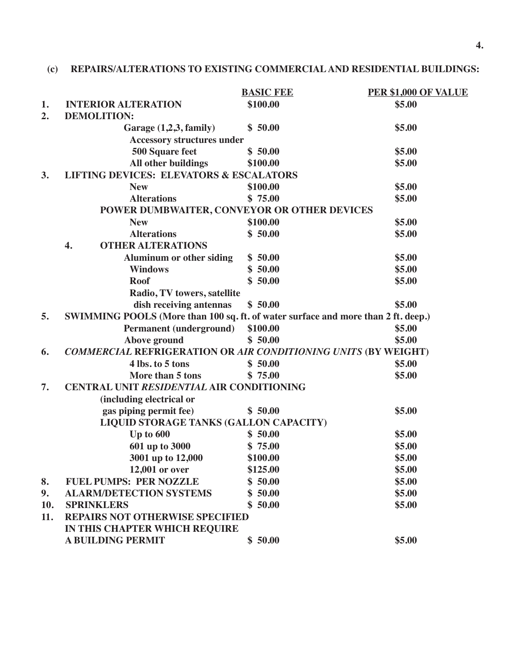# **(c) REPAIRS/ALTERATIONS TO EXISTING COMMERCIALAND RESIDENTIAL BUILDINGS:**

|     |                                                                                   | <b>BASIC FEE</b> | PER \$1,000 OF VALUE |
|-----|-----------------------------------------------------------------------------------|------------------|----------------------|
| 1.  | <b>INTERIOR ALTERATION</b>                                                        | \$100.00         | \$5.00               |
| 2.  | <b>DEMOLITION:</b>                                                                |                  |                      |
|     | Garage (1,2,3, family)                                                            | \$50.00          | \$5.00               |
|     | <b>Accessory structures under</b>                                                 |                  |                      |
|     | 500 Square feet                                                                   | \$50.00          | \$5.00               |
|     | All other buildings                                                               | \$100.00         | \$5.00               |
| 3.  | <b>LIFTING DEVICES: ELEVATORS &amp; ESCALATORS</b>                                |                  |                      |
|     | <b>New</b>                                                                        | \$100.00         | \$5.00               |
|     | <b>Alterations</b>                                                                | \$75.00          | \$5.00               |
|     | POWER DUMBWAITER, CONVEYOR OR OTHER DEVICES                                       |                  |                      |
|     | <b>New</b>                                                                        | \$100.00         | \$5.00               |
|     | <b>Alterations</b>                                                                | \$50.00          | \$5.00               |
|     | <b>OTHER ALTERATIONS</b><br>4.                                                    |                  |                      |
|     | <b>Aluminum or other siding</b>                                                   | \$50.00          | \$5.00               |
|     | <b>Windows</b>                                                                    | \$50.00          | \$5.00               |
|     | <b>Roof</b>                                                                       | \$50.00          | \$5.00               |
|     | Radio, TV towers, satellite                                                       |                  |                      |
|     | dish receiving antennas                                                           | \$50.00          | \$5.00               |
| 5.  | SWIMMING POOLS (More than 100 sq. ft. of water surface and more than 2 ft. deep.) |                  |                      |
|     | <b>Permanent (underground)</b>                                                    | \$100.00         | \$5.00               |
|     | Above ground                                                                      | \$50.00          | \$5.00               |
| 6.  | COMMERCIAL REFRIGERATION OR AIR CONDITIONING UNITS (BY WEIGHT)                    |                  |                      |
|     | 4 lbs. to 5 tons                                                                  | \$50.00          | \$5.00               |
|     | More than 5 tons                                                                  | \$75.00          | \$5.00               |
| 7.  | CENTRAL UNIT RESIDENTIAL AIR CONDITIONING                                         |                  |                      |
|     | (including electrical or                                                          |                  |                      |
|     | gas piping permit fee)                                                            | \$50.00          | \$5.00               |
|     | LIQUID STORAGE TANKS (GALLON CAPACITY)                                            |                  |                      |
|     | Up to 600                                                                         | \$50.00          | \$5.00               |
|     | 601 up to 3000                                                                    | \$75.00          | \$5.00               |
|     | 3001 up to 12,000                                                                 | \$100.00         | \$5.00               |
|     | 12,001 or over                                                                    | \$125.00         | \$5.00               |
| 8.  | <b>FUEL PUMPS: PER NOZZLE</b>                                                     | \$50.00          | \$5.00               |
| 9.  | <b>ALARM/DETECTION SYSTEMS</b>                                                    | \$50.00          | \$5.00               |
| 10. | <b>SPRINKLERS</b>                                                                 | \$50.00          | \$5.00               |
| 11. | <b>REPAIRS NOT OTHERWISE SPECIFIED</b>                                            |                  |                      |
|     | IN THIS CHAPTER WHICH REQUIRE                                                     |                  |                      |
|     | <b>A BUILDING PERMIT</b>                                                          | \$50.00          | \$5.00               |
|     |                                                                                   |                  |                      |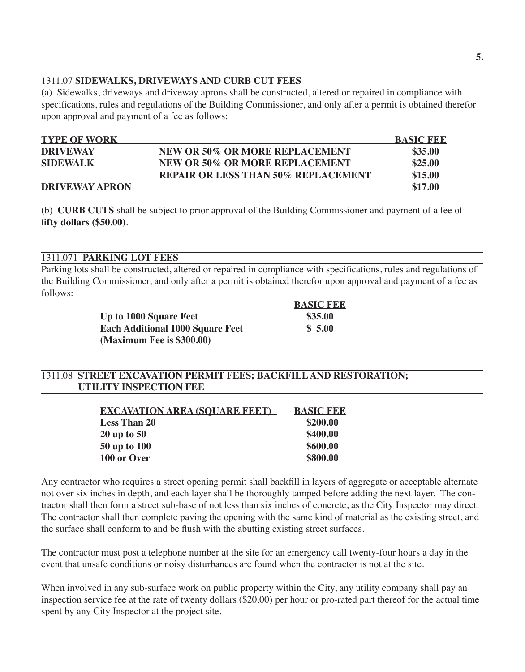# 1311.07 **SIDEWALKS, DRIVEWAYS AND CURB CUT FEES**

(a) Sidewalks, driveways and driveway aprons shall be constructed, altered or repaired in compliance with specifications, rules and regulations of the Building Commissioner, and only after a permit is obtained therefor upon approval and payment of a fee as follows:

| <b>TYPE OF WORK</b>   |                                            | <b>BASIC FEE</b> |
|-----------------------|--------------------------------------------|------------------|
| <b>DRIVEWAY</b>       | <b>NEW OR 50% OR MORE REPLACEMENT</b>      | \$35.00          |
| <b>SIDEWALK</b>       | NEW OR 50% OR MORE REPLACEMENT             | \$25.00          |
|                       | <b>REPAIR OR LESS THAN 50% REPLACEMENT</b> | \$15.00          |
| <b>DRIVEWAY APRON</b> |                                            | \$17.00          |

(b) **CURB CUTS** shall be subject to prior approval of the Building Commissioner and payment of a fee of **fifty dollars (\$50.00)**.

## 1311.071 **PARKING LOT FEES**

Parking lots shall be constructed, altered or repaired in compliance with specifications, rules and regulations of the Building Commissioner, and only after a permit is obtained therefor upon approval and payment of a fee as follows:

|                                         | <b>BASIC FEE</b> |
|-----------------------------------------|------------------|
| Up to 1000 Square Feet                  | \$35.00          |
| <b>Each Additional 1000 Square Feet</b> | \$5.00           |
| (Maximum Fee is \$300.00)               |                  |

## 1311.08 **STREET EXCAVATION PERMIT FEES; BACKFILLAND RESTORATION; UTILITY INSPECTION FEE**

| <b>EXCAVATION AREA (SOUARE FEET)</b> | <b>BASIC FEE</b> |
|--------------------------------------|------------------|
| <b>Less Than 20</b>                  | \$200.00         |
| $20$ up to $50$                      | \$400.00         |
| <b>50 up to 100</b>                  | \$600.00         |
| 100 or Over                          | \$800.00         |

Any contractor who requires a street opening permit shall backfill in layers of aggregate or acceptable alternate not over six inches in depth, and each layer shall be thoroughly tamped before adding the next layer. The contractor shall then form a street sub-base of not less than six inches of concrete, as the City Inspector may direct. The contractor shall then complete paving the opening with the same kind of material as the existing street, and the surface shall conform to and be flush with the abutting existing street surfaces.

The contractor must post a telephone number at the site for an emergency call twenty-four hours a day in the event that unsafe conditions or noisy disturbances are found when the contractor is not at the site.

When involved in any sub-surface work on public property within the City, any utility company shall pay an inspection service fee at the rate of twenty dollars (\$20.00) per hour or pro-rated part thereof for the actual time spent by any City Inspector at the project site.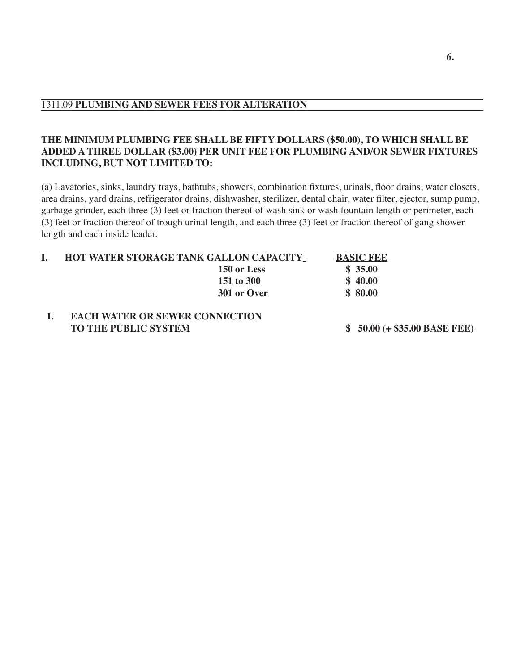## **THE MINIMUM PLUMBING FEE SHALL BE FIFTY DOLLARS (\$50.00), TO WHICH SHALL BE ADDED A THREE DOLLAR (\$3.00) PER UNIT FEE FOR PLUMBING AND/OR SEWER FIXTURES INCLUDING, BUT NOT LIMITED TO:**

(a) Lavatories, sinks, laundry trays, bathtubs, showers, combination fixtures, urinals, floor drains, water closets, area drains, yard drains, refrigerator drains, dishwasher, sterilizer, dental chair, water filter, ejector, sump pump, garbage grinder, each three (3) feet or fraction thereof of wash sink or wash fountain length or perimeter, each (3) feet or fraction thereof of trough urinal length, and each three (3) feet or fraction thereof of gang shower length and each inside leader.

| <b>HOT WATER STORAGE TANK GALLON CAPACITY_</b> |             | <b>BASIC FEE</b> |
|------------------------------------------------|-------------|------------------|
|                                                | 150 or Less | \$35.00          |
|                                                | 151 to 300  | \$40.00          |
|                                                | 301 or Over | \$80.00          |
|                                                |             |                  |
| <b>ELOILWARD OD CEWED COMPORAL</b>             |             |                  |

#### **I. EACH WATER OR SEWER CONNECTION TO THE PUBLIC SYSTEM \$ 50.00 (+ \$35.00 BASE FEE)**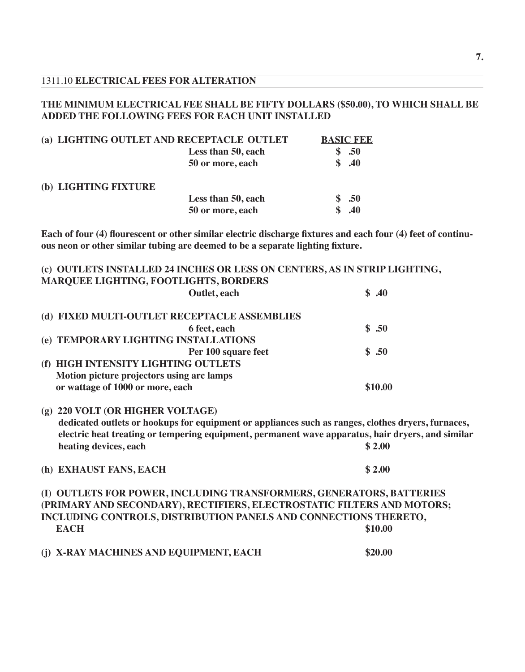#### 1311.10 **ELECTRICAL FEES FOR ALTERATION**

## **THE MINIMUM ELECTRICAL FEE SHALL BE FIFTY DOLLARS (\$50.00), TO WHICH SHALL BE ADDED THE FOLLOWING FEES FOR EACH UNIT INSTALLED**

| (a) LIGHTING OUTLET AND RECEPTACLE OUTLET |                    | <b>BASIC FEE</b> |
|-------------------------------------------|--------------------|------------------|
|                                           | Less than 50, each | .50              |
|                                           | 50 or more, each   | \$.40            |
| (b) LIGHTING FIXTURE                      |                    |                  |
|                                           | Less than 50, each | .50              |
|                                           | 50 or more, each   | .40              |

Each of four (4) flourescent or other similar electric discharge fixtures and each four (4) feet of continu**ous neon or other similar tubing are deemed to be a separate lighting fixture.**

|                                              | (c) OUTLETS INSTALLED 24 INCHES OR LESS ON CENTERS, AS IN STRIP LIGHTING,                          |         |  |
|----------------------------------------------|----------------------------------------------------------------------------------------------------|---------|--|
| <b>MARQUEE LIGHTING, FOOTLIGHTS, BORDERS</b> |                                                                                                    |         |  |
|                                              | Outlet, each                                                                                       | \$.40   |  |
|                                              | (d) FIXED MULTI-OUTLET RECEPTACLE ASSEMBLIES                                                       |         |  |
|                                              | 6 feet, each                                                                                       | \$.50   |  |
|                                              |                                                                                                    |         |  |
| (e) TEMPORARY LIGHTING INSTALLATIONS         |                                                                                                    |         |  |
|                                              | Per 100 square feet                                                                                | \$.50   |  |
| HIGH INTENSITY LIGHTING OUTLETS<br>(f)       |                                                                                                    |         |  |
| Motion picture projectors using arc lamps    |                                                                                                    |         |  |
| or wattage of 1000 or more, each             |                                                                                                    | \$10.00 |  |
| (g) 220 VOLT (OR HIGHER VOLTAGE)             |                                                                                                    |         |  |
|                                              | dedicated outlets or hookups for equipment or appliances such as ranges, clothes dryers, furnaces, |         |  |
|                                              | electric heat treating or tempering equipment, permanent wave apparatus, hair dryers, and similar  |         |  |
| heating devices, each                        |                                                                                                    | \$2.00  |  |
|                                              |                                                                                                    |         |  |
| (h) EXHAUST FANS, EACH                       |                                                                                                    | \$2.00  |  |
|                                              | (I) OUTLETS FOR POWER, INCLUDING TRANSFORMERS, GENERATORS, BATTERIES                               |         |  |
|                                              | (PRIMARY AND SECONDARY), RECTIFIERS, ELECTROSTATIC FILTERS AND MOTORS;                             |         |  |
|                                              | INCLUDING CONTROLS, DISTRIBUTION PANELS AND CONNECTIONS THERETO,                                   |         |  |

**(j) X-RAY MACHINES AND EQUIPMENT, EACH \$20.00**

**EACH** \$10.00